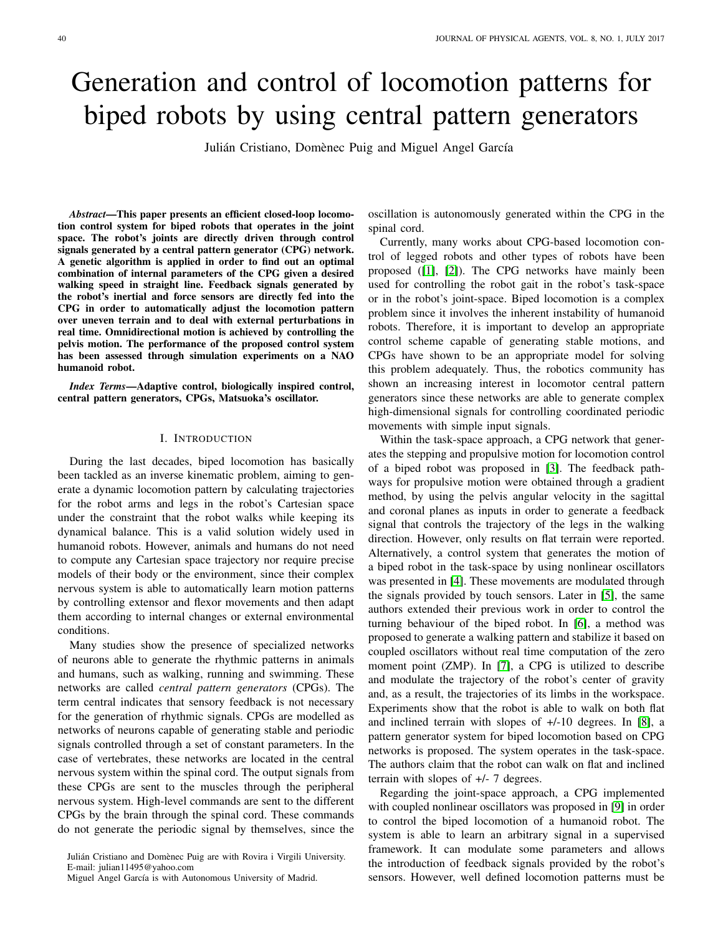# Generation and control of locomotion patterns for biped robots by using central pattern generators

Julián Cristiano, Domènec Puig and Miguel Angel García

*Abstract*—This paper presents an efficient closed-loop locomotion control system for biped robots that operates in the joint space. The robot's joints are directly driven through control signals generated by a central pattern generator (CPG) network. A genetic algorithm is applied in order to find out an optimal combination of internal parameters of the CPG given a desired walking speed in straight line. Feedback signals generated by the robot's inertial and force sensors are directly fed into the CPG in order to automatically adjust the locomotion pattern over uneven terrain and to deal with external perturbations in real time. Omnidirectional motion is achieved by controlling the pelvis motion. The performance of the proposed control system has been assessed through simulation experiments on a NAO humanoid robot.

*Index Terms*—Adaptive control, biologically inspired control, central pattern generators, CPGs, Matsuoka's oscillator.

#### I. INTRODUCTION

During the last decades, biped locomotion has basically been tackled as an inverse kinematic problem, aiming to generate a dynamic locomotion pattern by calculating trajectories for the robot arms and legs in the robot's Cartesian space under the constraint that the robot walks while keeping its dynamical balance. This is a valid solution widely used in humanoid robots. However, animals and humans do not need to compute any Cartesian space trajectory nor require precise models of their body or the environment, since their complex nervous system is able to automatically learn motion patterns by controlling extensor and flexor movements and then adapt them according to internal changes or external environmental conditions.

Many studies show the presence of specialized networks of neurons able to generate the rhythmic patterns in animals and humans, such as walking, running and swimming. These networks are called *central pattern generators* (CPGs). The term central indicates that sensory feedback is not necessary for the generation of rhythmic signals. CPGs are modelled as networks of neurons capable of generating stable and periodic signals controlled through a set of constant parameters. In the case of vertebrates, these networks are located in the central nervous system within the spinal cord. The output signals from these CPGs are sent to the muscles through the peripheral nervous system. High-level commands are sent to the different CPGs by the brain through the spinal cord. These commands do not generate the periodic signal by themselves, since the

oscillation is autonomously generated within the CPG in the spinal cord.

Currently, many works about CPG-based locomotion control of legged robots and other types of robots have been proposed ([\[1\]](#page-7-0), [\[2\]](#page-7-1)). The CPG networks have mainly been used for controlling the robot gait in the robot's task-space or in the robot's joint-space. Biped locomotion is a complex problem since it involves the inherent instability of humanoid robots. Therefore, it is important to develop an appropriate control scheme capable of generating stable motions, and CPGs have shown to be an appropriate model for solving this problem adequately. Thus, the robotics community has shown an increasing interest in locomotor central pattern generators since these networks are able to generate complex high-dimensional signals for controlling coordinated periodic movements with simple input signals.

Within the task-space approach, a CPG network that generates the stepping and propulsive motion for locomotion control of a biped robot was proposed in [\[3\]](#page-7-2). The feedback pathways for propulsive motion were obtained through a gradient method, by using the pelvis angular velocity in the sagittal and coronal planes as inputs in order to generate a feedback signal that controls the trajectory of the legs in the walking direction. However, only results on flat terrain were reported. Alternatively, a control system that generates the motion of a biped robot in the task-space by using nonlinear oscillators was presented in [\[4\]](#page-7-3). These movements are modulated through the signals provided by touch sensors. Later in [\[5\]](#page-7-4), the same authors extended their previous work in order to control the turning behaviour of the biped robot. In [\[6\]](#page-7-5), a method was proposed to generate a walking pattern and stabilize it based on coupled oscillators without real time computation of the zero moment point (ZMP). In [\[7\]](#page-7-6), a CPG is utilized to describe and modulate the trajectory of the robot's center of gravity and, as a result, the trajectories of its limbs in the workspace. Experiments show that the robot is able to walk on both flat and inclined terrain with slopes of +/-10 degrees. In [\[8\]](#page-7-7), a pattern generator system for biped locomotion based on CPG networks is proposed. The system operates in the task-space. The authors claim that the robot can walk on flat and inclined terrain with slopes of +/- 7 degrees.

Regarding the joint-space approach, a CPG implemented with coupled nonlinear oscillators was proposed in [\[9\]](#page-7-8) in order to control the biped locomotion of a humanoid robot. The system is able to learn an arbitrary signal in a supervised framework. It can modulate some parameters and allows the introduction of feedback signals provided by the robot's sensors. However, well defined locomotion patterns must be

Julián Cristiano and Domènec Puig are with Rovira i Virgili University. E-mail: julian11495@yahoo.com

Miguel Angel García is with Autonomous University of Madrid.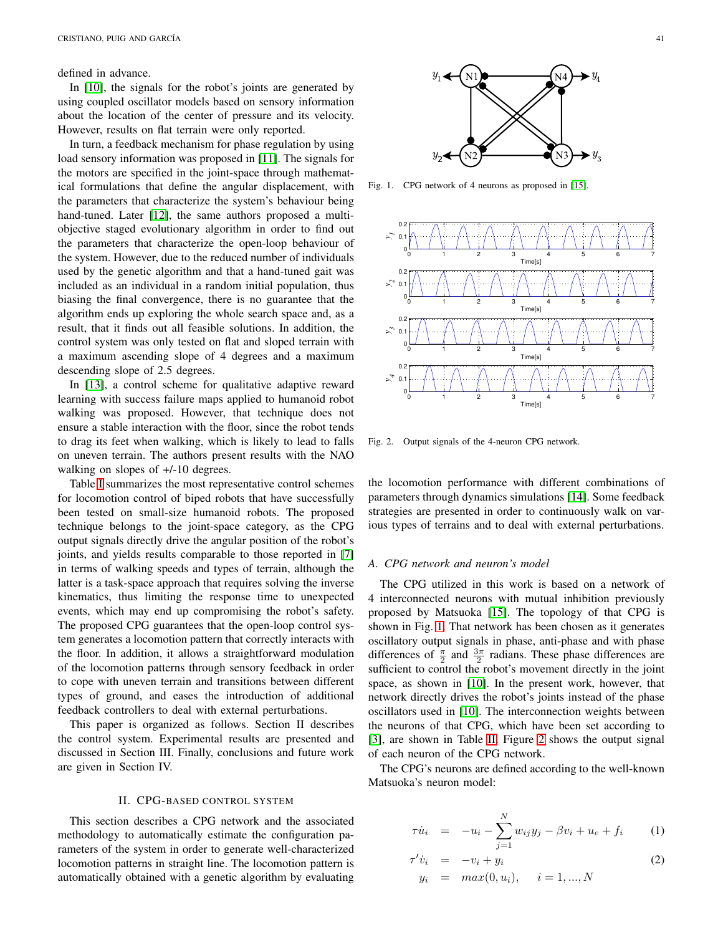defined in advance.

In [\[10\]](#page-7-9), the signals for the robot's joints are generated by using coupled oscillator models based on sensory information about the location of the center of pressure and its velocity. However, results on flat terrain were only reported.

In turn, a feedback mechanism for phase regulation by using load sensory information was proposed in [\[11\]](#page-7-10). The signals for the motors are specified in the joint-space through mathematical formulations that define the angular displacement, with the parameters that characterize the system's behaviour being hand-tuned. Later [\[12\]](#page-7-11), the same authors proposed a multiobjective staged evolutionary algorithm in order to find out the parameters that characterize the open-loop behaviour of the system. However, due to the reduced number of individuals used by the genetic algorithm and that a hand-tuned gait was included as an individual in a random initial population, thus biasing the final convergence, there is no guarantee that the algorithm ends up exploring the whole search space and, as a result, that it finds out all feasible solutions. In addition, the control system was only tested on flat and sloped terrain with a maximum ascending slope of 4 degrees and a maximum descending slope of 2.5 degrees.

In [\[13\]](#page-7-12), a control scheme for qualitative adaptive reward learning with success failure maps applied to humanoid robot walking was proposed. However, that technique does not ensure a stable interaction with the floor, since the robot tends to drag its feet when walking, which is likely to lead to falls on uneven terrain. The authors present results with the NAO walking on slopes of  $+/-10$  degrees.

Table [I](#page-2-0) summarizes the most representative control schemes for locomotion control of biped robots that have successfully been tested on small-size humanoid robots. The proposed technique belongs to the joint-space category, as the CPG output signals directly drive the angular position of the robot's joints, and yields results comparable to those reported in [\[7\]](#page-7-6) in terms of walking speeds and types of terrain, although the latter is a task-space approach that requires solving the inverse kinematics, thus limiting the response time to unexpected events, which may end up compromising the robot's safety. The proposed CPG guarantees that the open-loop control system generates a locomotion pattern that correctly interacts with the floor. In addition, it allows a straightforward modulation of the locomotion patterns through sensory feedback in order to cope with uneven terrain and transitions between different types of ground, and eases the introduction of additional feedback controllers to deal with external perturbations.

This paper is organized as follows. Section II describes the control system. Experimental results are presented and discussed in Section III. Finally, conclusions and future work are given in Section IV.

#### II. CPG-BASED CONTROL SYSTEM

This section describes a CPG network and the associated methodology to automatically estimate the configuration parameters of the system in order to generate well-characterized locomotion patterns in straight line. The locomotion pattern is automatically obtained with a genetic algorithm by evaluating



<span id="page-1-0"></span>Fig. 1. CPG network of 4 neurons as proposed in [\[15\]](#page-7-13).



<span id="page-1-1"></span>Fig. 2. Output signals of the 4-neuron CPG network.

the locomotion performance with different combinations of parameters through dynamics simulations [\[14\]](#page-7-14). Some feedback strategies are presented in order to continuously walk on various types of terrains and to deal with external perturbations.

#### *A. CPG network and neuron's model*

The CPG utilized in this work is based on a network of 4 interconnected neurons with mutual inhibition previously proposed by Matsuoka [\[15\]](#page-7-13). The topology of that CPG is shown in Fig. [1.](#page-1-0) That network has been chosen as it generates oscillatory output signals in phase, anti-phase and with phase differences of  $\frac{\pi}{2}$  and  $\frac{3\pi}{2}$  radians. These phase differences are sufficient to control the robot's movement directly in the joint space, as shown in [\[10\]](#page-7-9). In the present work, however, that network directly drives the robot's joints instead of the phase oscillators used in [\[10\]](#page-7-9). The interconnection weights between the neurons of that CPG, which have been set according to [\[3\]](#page-7-2), are shown in Table [II.](#page-2-1) Figure [2](#page-1-1) shows the output signal of each neuron of the CPG network.

The CPG's neurons are defined according to the well-known Matsuoka's neuron model:

<span id="page-1-2"></span>
$$
\tau \dot{u}_i = -u_i - \sum_{j=1}^N w_{ij} y_j - \beta v_i + u_e + f_i \qquad (1)
$$

$$
\tau' \dot{v}_i = -v_i + y_i \n y_i = max(0, u_i), \quad i = 1, ..., N
$$
\n(2)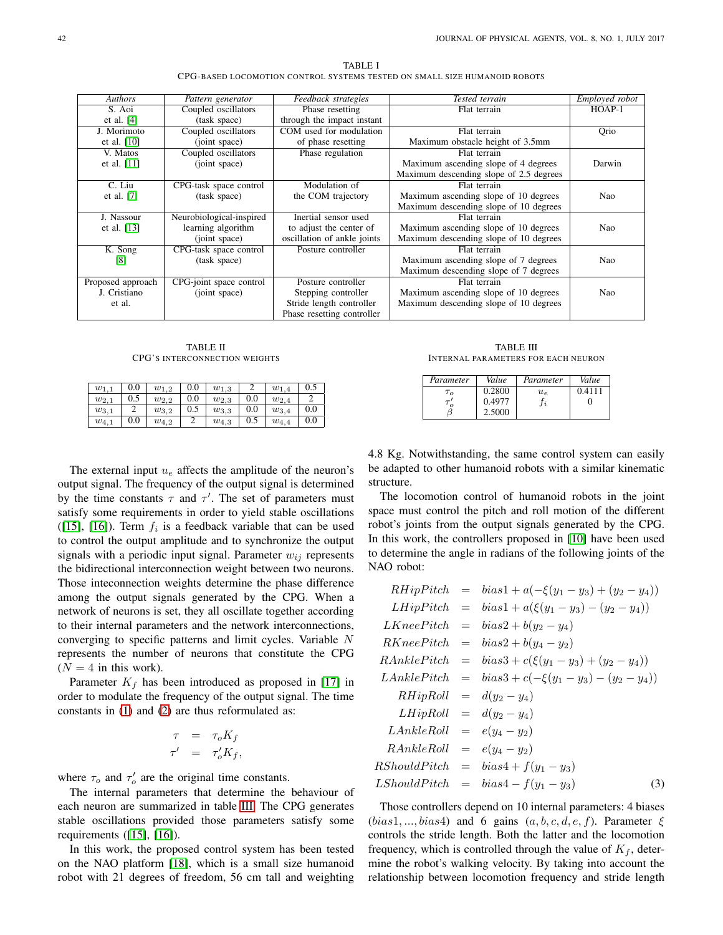<span id="page-2-0"></span>

| <b>Authors</b>    | Pattern generator        | Feedback strategies         | Tested terrain                          | <i>Employed robot</i> |
|-------------------|--------------------------|-----------------------------|-----------------------------------------|-----------------------|
| S. Aoi            | Coupled oscillators      | Phase resetting             | Flat terrain                            | $HOAP-1$              |
| et al. $[4]$      | (task space)             | through the impact instant  |                                         |                       |
| J. Morimoto       | Coupled oscillators      | COM used for modulation     | Flat terrain                            | Orio                  |
| et al. $[10]$     | (joint space)            | of phase resetting          | Maximum obstacle height of 3.5mm        |                       |
| V. Matos          | Coupled oscillators      | Phase regulation            | Flat terrain                            |                       |
| et al. $[11]$     | (joint space)            |                             | Maximum ascending slope of 4 degrees    | Darwin                |
|                   |                          |                             | Maximum descending slope of 2.5 degrees |                       |
| C. Liu            | CPG-task space control   | Modulation of               | Flat terrain                            |                       |
| et al. $[7]$      | (task space)             | the COM trajectory          | Maximum ascending slope of 10 degrees   | Nao                   |
|                   |                          |                             | Maximum descending slope of 10 degrees  |                       |
| J. Nassour        | Neurobiological-inspired | Inertial sensor used        | Flat terrain                            |                       |
| et al. $[13]$     | learning algorithm       | to adjust the center of     | Maximum ascending slope of 10 degrees   | Nao                   |
|                   | (joint space)            | oscillation of ankle joints | Maximum descending slope of 10 degrees  |                       |
| K. Song           | CPG-task space control   | Posture controller          | Flat terrain                            |                       |
| [8]               | (task space)             |                             | Maximum ascending slope of 7 degrees    | Nao                   |
|                   |                          |                             | Maximum descending slope of 7 degrees   |                       |
| Proposed approach | CPG-joint space control  | Posture controller          | Flat terrain                            |                       |
| J. Cristiano      | (joint space)            | Stepping controller         | Maximum ascending slope of 10 degrees   | Nao                   |
| et al.            |                          | Stride length controller    | Maximum descending slope of 10 degrees  |                       |
|                   |                          | Phase resetting controller  |                                         |                       |

TABLE I CPG-BASED LOCOMOTION CONTROL SYSTEMS TESTED ON SMALL SIZE HUMANOID ROBOTS

TABLE II CPG'S INTERCONNECTION WEIGHTS

<span id="page-2-1"></span>

| $w_{1,1}$ | 0.0      | $w_{1,2}$ | 0.0 | $w_{1,3}$ |     | $w_{1,4}$ | 0.5 |
|-----------|----------|-----------|-----|-----------|-----|-----------|-----|
| $w_{2,1}$ | 0.5      | $w_{2,2}$ | 0.0 | $w_{2,3}$ | 0.0 | $w_{2,4}$ |     |
| $w_{3,1}$ |          | $w_{3,2}$ | 0.5 | $w_{3,3}$ | 0.0 | $w_{3,4}$ | 0.0 |
| $w_{4,1}$ | $_{0.0}$ | $w_{4,2}$ |     | $w_{4,3}$ | 0.5 | $w_{4,4}$ | 0.0 |

The external input  $u_e$  affects the amplitude of the neuron's output signal. The frequency of the output signal is determined by the time constants  $\tau$  and  $\tau'$ . The set of parameters must satisfy some requirements in order to yield stable oscillations ([\[15\]](#page-7-13), [\[16\]](#page-7-15)). Term  $f_i$  is a feedback variable that can be used to control the output amplitude and to synchronize the output signals with a periodic input signal. Parameter  $w_{ij}$  represents the bidirectional interconnection weight between two neurons. Those inteconnection weights determine the phase difference among the output signals generated by the CPG. When a network of neurons is set, they all oscillate together according to their internal parameters and the network interconnections, converging to specific patterns and limit cycles. Variable N represents the number of neurons that constitute the CPG  $(N = 4$  in this work).

Parameter  $K_f$  has been introduced as proposed in [\[17\]](#page-7-16) in order to modulate the frequency of the output signal. The time constants in [\(1\)](#page-1-2) and [\(2\)](#page-1-2) are thus reformulated as:

$$
\begin{array}{rcl}\n\tau & = & \tau_o K_f \\
\tau' & = & \tau'_o K_f,\n\end{array}
$$

where  $\tau_o$  and  $\tau'_o$  are the original time constants.

The internal parameters that determine the behaviour of each neuron are summarized in table [III.](#page-2-2) The CPG generates stable oscillations provided those parameters satisfy some requirements ([\[15\]](#page-7-13), [\[16\]](#page-7-15)).

In this work, the proposed control system has been tested on the NAO platform [\[18\]](#page-7-17), which is a small size humanoid robot with 21 degrees of freedom, 56 cm tall and weighting

TABLE III INTERNAL PARAMETERS FOR EACH NEURON

<span id="page-2-2"></span>

| Parameter  | Value  | Parameter  | Value |
|------------|--------|------------|-------|
| $\tau_{o}$ | 0.2800 | $u_{\rho}$ |       |
|            | 0.4977 |            |       |
|            | 2.5000 |            |       |

4.8 Kg. Notwithstanding, the same control system can easily be adapted to other humanoid robots with a similar kinematic structure.

The locomotion control of humanoid robots in the joint space must control the pitch and roll motion of the different robot's joints from the output signals generated by the CPG. In this work, the controllers proposed in [\[10\]](#page-7-9) have been used to determine the angle in radians of the following joints of the NAO robot:

<span id="page-2-3"></span>RHipPitch = bias1 + a(-
$$
\xi
$$
(y<sub>1</sub> - y<sub>3</sub>) + (y<sub>2</sub> - y<sub>4</sub>))  
\nLHipPitch = bias1 + a( $\xi$ (y<sub>1</sub> - y<sub>3</sub>) - (y<sub>2</sub> - y<sub>4</sub>))  
\nLKneePitch = bias2 + b(y<sub>2</sub> - y<sub>4</sub>)  
\nRKneePitch = bias2 + b(y<sub>4</sub> - y<sub>2</sub>)  
\nRAnklePitch = bias3 + c( $\xi$ (y<sub>1</sub> - y<sub>3</sub>) + (y<sub>2</sub> - y<sub>4</sub>))  
\nLAnklePitch = bias3 + c(- $\xi$ (y<sub>1</sub> - y<sub>3</sub>) - (y<sub>2</sub> - y<sub>4</sub>))  
\nRHipRoll = d(y<sub>2</sub> - y<sub>4</sub>)  
\nLAnkleRoll = d(y<sub>2</sub> - y<sub>4</sub>)  
\nLAnkleRoll = e(y<sub>4</sub> - y<sub>2</sub>)  
\nRAnkleRoll = e(y<sub>4</sub> - y<sub>2</sub>)  
\nRShouldPitch = bias4 + f(y<sub>1</sub> - y<sub>3</sub>) (3)

Those controllers depend on 10 internal parameters: 4 biases  $(bias1, ..., bias4)$  and 6 gains  $(a, b, c, d, e, f)$ . Parameter  $\xi$ controls the stride length. Both the latter and the locomotion frequency, which is controlled through the value of  $K_f$ , determine the robot's walking velocity. By taking into account the relationship between locomotion frequency and stride length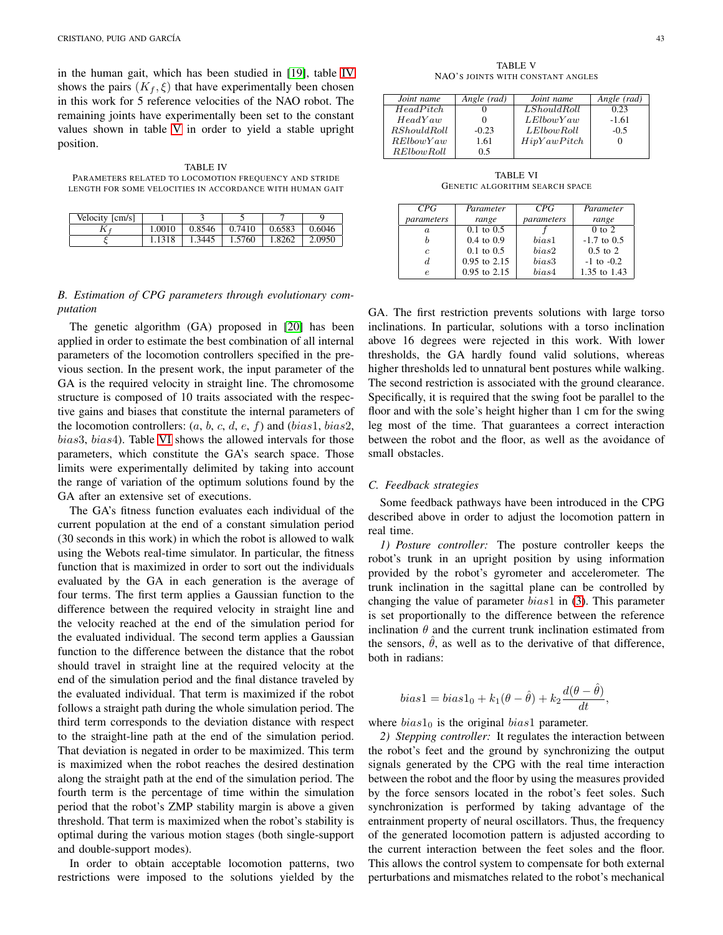in the human gait, which has been studied in [\[19\]](#page-7-18), table [IV](#page-3-0) shows the pairs  $(K_f, \xi)$  that have experimentally been chosen in this work for 5 reference velocities of the NAO robot. The remaining joints have experimentally been set to the constant values shown in table [V](#page-3-1) in order to yield a stable upright position.

<span id="page-3-0"></span>TABLE IV PARAMETERS RELATED TO LOCOMOTION FREQUENCY AND STRIDE LENGTH FOR SOME VELOCITIES IN ACCORDANCE WITH HUMAN GAIT

| Velocity [cm/s] |        |        |        |        |        |
|-----------------|--------|--------|--------|--------|--------|
| 17              | 1.0010 | 0.8546 | 0.7410 | 0.6583 | 0.6046 |
|                 | 1.1318 | 1.3445 | 1.5760 | 1.8262 | 2.0950 |

# *B. Estimation of CPG parameters through evolutionary computation*

The genetic algorithm (GA) proposed in [\[20\]](#page-7-19) has been applied in order to estimate the best combination of all internal parameters of the locomotion controllers specified in the previous section. In the present work, the input parameter of the GA is the required velocity in straight line. The chromosome structure is composed of 10 traits associated with the respective gains and biases that constitute the internal parameters of the locomotion controllers:  $(a, b, c, d, e, f)$  and  $(bias1, bias2,$ bias3, bias4). Table [VI](#page-3-2) shows the allowed intervals for those parameters, which constitute the GA's search space. Those limits were experimentally delimited by taking into account the range of variation of the optimum solutions found by the GA after an extensive set of executions.

The GA's fitness function evaluates each individual of the current population at the end of a constant simulation period (30 seconds in this work) in which the robot is allowed to walk using the Webots real-time simulator. In particular, the fitness function that is maximized in order to sort out the individuals evaluated by the GA in each generation is the average of four terms. The first term applies a Gaussian function to the difference between the required velocity in straight line and the velocity reached at the end of the simulation period for the evaluated individual. The second term applies a Gaussian function to the difference between the distance that the robot should travel in straight line at the required velocity at the end of the simulation period and the final distance traveled by the evaluated individual. That term is maximized if the robot follows a straight path during the whole simulation period. The third term corresponds to the deviation distance with respect to the straight-line path at the end of the simulation period. That deviation is negated in order to be maximized. This term is maximized when the robot reaches the desired destination along the straight path at the end of the simulation period. The fourth term is the percentage of time within the simulation period that the robot's ZMP stability margin is above a given threshold. That term is maximized when the robot's stability is optimal during the various motion stages (both single-support and double-support modes).

In order to obtain acceptable locomotion patterns, two restrictions were imposed to the solutions yielded by the

TABLE V NAO'S JOINTS WITH CONSTANT ANGLES

<span id="page-3-1"></span>

| Joint name        | Angle (rad) | Joint name  | Angle (rad) |
|-------------------|-------------|-------------|-------------|
| HeadPitch         |             | LShouldRoll | 0.23        |
| HeadYaw           |             | LElbowYaw   | $-1.61$     |
| RShouldRoll       | $-0.23$     | LElbowRoll  | $-0.5$      |
| RElowYaw          | 1.61        | HipYawPitch |             |
| <i>RElbowRoll</i> | 0.5         |             |             |

TABLE VI GENETIC ALGORITHM SEARCH SPACE

<span id="page-3-2"></span>

| CPG        | Parameter             | CPG <sup>-</sup> | Parameter      |
|------------|-----------------------|------------------|----------------|
| parameters | range                 | parameters       | range          |
| a.         | $0.1 \text{ to } 0.5$ |                  | $0$ to $2$     |
|            | $0.4 \text{ to } 0.9$ | bias1            | $-1.7$ to 0.5  |
| $\epsilon$ | $0.1 \text{ to } 0.5$ | bias2            | $0.5$ to $2$   |
| d.         | $0.95$ to $2.15$      | bias3            | $-1$ to $-0.2$ |
| e          | $0.95$ to $2.15$      | bias4            | 1.35 to 1.43   |

GA. The first restriction prevents solutions with large torso inclinations. In particular, solutions with a torso inclination above 16 degrees were rejected in this work. With lower thresholds, the GA hardly found valid solutions, whereas higher thresholds led to unnatural bent postures while walking. The second restriction is associated with the ground clearance. Specifically, it is required that the swing foot be parallel to the floor and with the sole's height higher than 1 cm for the swing leg most of the time. That guarantees a correct interaction between the robot and the floor, as well as the avoidance of small obstacles.

#### *C. Feedback strategies*

Some feedback pathways have been introduced in the CPG described above in order to adjust the locomotion pattern in real time.

*1) Posture controller:* The posture controller keeps the robot's trunk in an upright position by using information provided by the robot's gyrometer and accelerometer. The trunk inclination in the sagittal plane can be controlled by changing the value of parameter  $bias1$  in [\(3\)](#page-2-3). This parameter is set proportionally to the difference between the reference inclination  $\theta$  and the current trunk inclination estimated from the sensors,  $\hat{\theta}$ , as well as to the derivative of that difference, both in radians:

$$
bias1 = bias1_0 + k_1(\theta - \hat{\theta}) + k_2 \frac{d(\theta - \hat{\theta})}{dt},
$$

where  $bias1_0$  is the original  $bias1$  parameter.

*2) Stepping controller:* It regulates the interaction between the robot's feet and the ground by synchronizing the output signals generated by the CPG with the real time interaction between the robot and the floor by using the measures provided by the force sensors located in the robot's feet soles. Such synchronization is performed by taking advantage of the entrainment property of neural oscillators. Thus, the frequency of the generated locomotion pattern is adjusted according to the current interaction between the feet soles and the floor. This allows the control system to compensate for both external perturbations and mismatches related to the robot's mechanical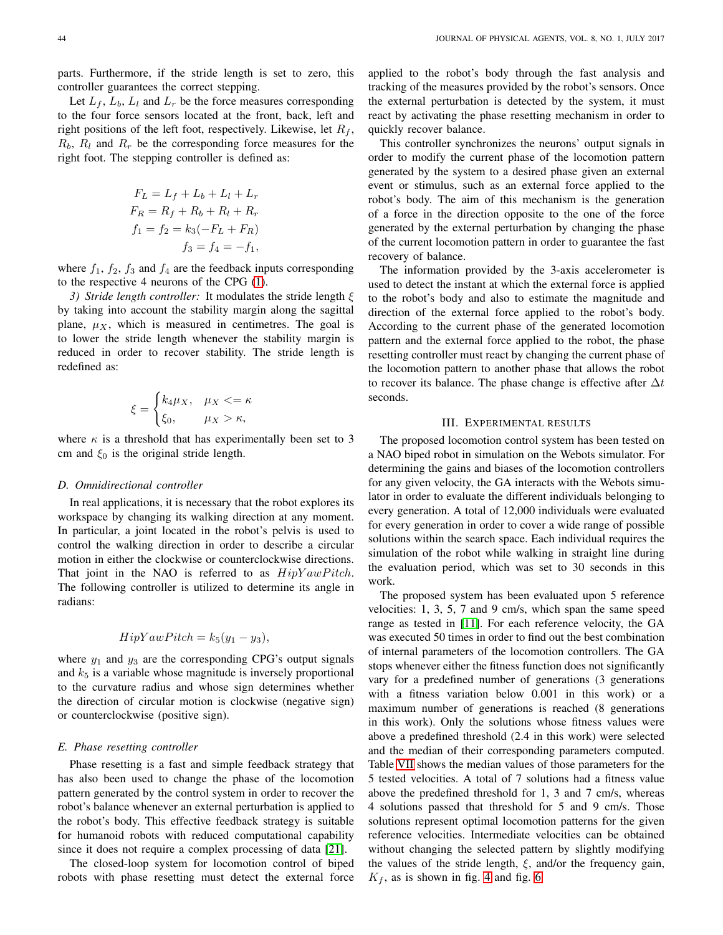parts. Furthermore, if the stride length is set to zero, this controller guarantees the correct stepping.

Let  $L_f$ ,  $L_b$ ,  $L_l$  and  $L_r$  be the force measures corresponding to the four force sensors located at the front, back, left and right positions of the left foot, respectively. Likewise, let  $R_f$ ,  $R_b$ ,  $R_l$  and  $R_r$  be the corresponding force measures for the right foot. The stepping controller is defined as:

$$
F_L = L_f + L_b + L_l + L_r
$$
  
\n
$$
F_R = R_f + R_b + R_l + R_r
$$
  
\n
$$
f_1 = f_2 = k_3(-F_L + F_R)
$$
  
\n
$$
f_3 = f_4 = -f_1,
$$

where  $f_1$ ,  $f_2$ ,  $f_3$  and  $f_4$  are the feedback inputs corresponding to the respective 4 neurons of the CPG [\(1\)](#page-1-2).

*3) Stride length controller:* It modulates the stride length ξ by taking into account the stability margin along the sagittal plane,  $\mu_X$ , which is measured in centimetres. The goal is to lower the stride length whenever the stability margin is reduced in order to recover stability. The stride length is redefined as:

$$
\xi = \begin{cases} k_4 \mu_X, & \mu_X < = \kappa \\ \xi_0, & \mu_X > \kappa, \end{cases}
$$

where  $\kappa$  is a threshold that has experimentally been set to 3 cm and  $\xi_0$  is the original stride length.

#### *D. Omnidirectional controller*

In real applications, it is necessary that the robot explores its workspace by changing its walking direction at any moment. In particular, a joint located in the robot's pelvis is used to control the walking direction in order to describe a circular motion in either the clockwise or counterclockwise directions. That joint in the NAO is referred to as  $HipYawPitch$ . The following controller is utilized to determine its angle in radians:

# $HipYawPitch = k_5(y_1 - y_3),$

where  $y_1$  and  $y_3$  are the corresponding CPG's output signals and  $k_5$  is a variable whose magnitude is inversely proportional to the curvature radius and whose sign determines whether the direction of circular motion is clockwise (negative sign) or counterclockwise (positive sign).

#### *E. Phase resetting controller*

Phase resetting is a fast and simple feedback strategy that has also been used to change the phase of the locomotion pattern generated by the control system in order to recover the robot's balance whenever an external perturbation is applied to the robot's body. This effective feedback strategy is suitable for humanoid robots with reduced computational capability since it does not require a complex processing of data [\[21\]](#page-7-20).

The closed-loop system for locomotion control of biped robots with phase resetting must detect the external force applied to the robot's body through the fast analysis and tracking of the measures provided by the robot's sensors. Once the external perturbation is detected by the system, it must react by activating the phase resetting mechanism in order to quickly recover balance.

This controller synchronizes the neurons' output signals in order to modify the current phase of the locomotion pattern generated by the system to a desired phase given an external event or stimulus, such as an external force applied to the robot's body. The aim of this mechanism is the generation of a force in the direction opposite to the one of the force generated by the external perturbation by changing the phase of the current locomotion pattern in order to guarantee the fast recovery of balance.

The information provided by the 3-axis accelerometer is used to detect the instant at which the external force is applied to the robot's body and also to estimate the magnitude and direction of the external force applied to the robot's body. According to the current phase of the generated locomotion pattern and the external force applied to the robot, the phase resetting controller must react by changing the current phase of the locomotion pattern to another phase that allows the robot to recover its balance. The phase change is effective after  $\Delta t$ seconds.

#### III. EXPERIMENTAL RESULTS

The proposed locomotion control system has been tested on a NAO biped robot in simulation on the Webots simulator. For determining the gains and biases of the locomotion controllers for any given velocity, the GA interacts with the Webots simulator in order to evaluate the different individuals belonging to every generation. A total of 12,000 individuals were evaluated for every generation in order to cover a wide range of possible solutions within the search space. Each individual requires the simulation of the robot while walking in straight line during the evaluation period, which was set to 30 seconds in this work.

The proposed system has been evaluated upon 5 reference velocities: 1, 3, 5, 7 and 9 cm/s, which span the same speed range as tested in [\[11\]](#page-7-10). For each reference velocity, the GA was executed 50 times in order to find out the best combination of internal parameters of the locomotion controllers. The GA stops whenever either the fitness function does not significantly vary for a predefined number of generations (3 generations with a fitness variation below 0.001 in this work) or a maximum number of generations is reached (8 generations in this work). Only the solutions whose fitness values were above a predefined threshold (2.4 in this work) were selected and the median of their corresponding parameters computed. Table [VII](#page-5-0) shows the median values of those parameters for the 5 tested velocities. A total of 7 solutions had a fitness value above the predefined threshold for 1, 3 and 7 cm/s, whereas 4 solutions passed that threshold for 5 and 9 cm/s. Those solutions represent optimal locomotion patterns for the given reference velocities. Intermediate velocities can be obtained without changing the selected pattern by slightly modifying the values of the stride length,  $\xi$ , and/or the frequency gain,  $K_f$ , as is shown in fig. [4](#page-5-1) and fig. [6.](#page-5-2)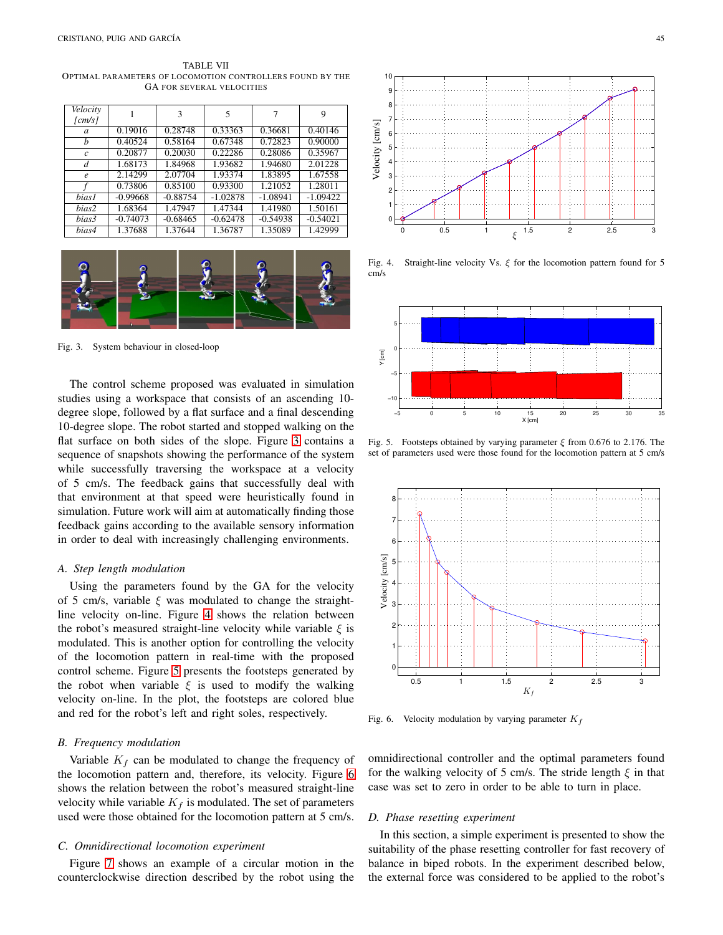<span id="page-5-0"></span>TABLE VII OPTIMAL PARAMETERS OF LOCOMOTION CONTROLLERS FOUND BY THE GA FOR SEVERAL VELOCITIES

| Velocity<br>$\lfloor cm/s \rfloor$ |            | 3          | 5          |            | 9          |
|------------------------------------|------------|------------|------------|------------|------------|
| a                                  | 0.19016    | 0.28748    | 0.33363    | 0.36681    | 0.40146    |
| b                                  | 0.40524    | 0.58164    | 0.67348    | 0.72823    | 0.90000    |
| $\mathcal{C}$                      | 0.20877    | 0.20030    | 0.22286    | 0.28086    | 0.35967    |
| d                                  | 1.68173    | 1.84968    | 1.93682    | 1.94680    | 2.01228    |
| $\boldsymbol{e}$                   | 2.14299    | 2.07704    | 1.93374    | 1.83895    | 1.67558    |
|                                    | 0.73806    | 0.85100    | 0.93300    | 1.21052    | 1.28011    |
| <i>bias1</i>                       | $-0.99668$ | $-0.88754$ | $-1.02878$ | $-1.08941$ | $-1.09422$ |
| bias2                              | 1.68364    | 1.47947    | 1.47344    | 1.41980    | 1.50161    |
| bias3                              | $-0.74073$ | $-0.68465$ | $-0.62478$ | $-0.54938$ | $-0.54021$ |
| bias4                              | 1.37688    | 1.37644    | 1.36787    | 1.35089    | 1.42999    |



Fig. 3. System behaviour in closed-loop

<span id="page-5-3"></span>The control scheme proposed was evaluated in simulation studies using a workspace that consists of an ascending 10 degree slope, followed by a flat surface and a final descending 10-degree slope. The robot started and stopped walking on the flat surface on both sides of the slope. Figure [3](#page-5-3) contains a sequence of snapshots showing the performance of the system while successfully traversing the workspace at a velocity of 5 cm/s. The feedback gains that successfully deal with that environment at that speed were heuristically found in simulation. Future work will aim at automatically finding those feedback gains according to the available sensory information in order to deal with increasingly challenging environments.

#### *A. Step length modulation*

Using the parameters found by the GA for the velocity of 5 cm/s, variable  $\xi$  was modulated to change the straightline velocity on-line. Figure [4](#page-5-1) shows the relation between the robot's measured straight-line velocity while variable  $\xi$  is modulated. This is another option for controlling the velocity of the locomotion pattern in real-time with the proposed control scheme. Figure [5](#page-5-4) presents the footsteps generated by the robot when variable  $\xi$  is used to modify the walking velocity on-line. In the plot, the footsteps are colored blue and red for the robot's left and right soles, respectively.

#### *B. Frequency modulation*

Variable  $K_f$  can be modulated to change the frequency of the locomotion pattern and, therefore, its velocity. Figure [6](#page-5-2) shows the relation between the robot's measured straight-line velocity while variable  $K_f$  is modulated. The set of parameters used were those obtained for the locomotion pattern at 5 cm/s.

#### *C. Omnidirectional locomotion experiment*

Figure [7](#page-6-0) shows an example of a circular motion in the counterclockwise direction described by the robot using the



<span id="page-5-1"></span>Fig. 4. Straight-line velocity Vs.  $\xi$  for the locomotion pattern found for 5 cm/s



<span id="page-5-4"></span>Fig. 5. Footsteps obtained by varying parameter  $\xi$  from 0.676 to 2.176. The set of parameters used were those found for the locomotion pattern at 5 cm/s



<span id="page-5-2"></span>Fig. 6. Velocity modulation by varying parameter  $K_f$ 

omnidirectional controller and the optimal parameters found for the walking velocity of 5 cm/s. The stride length  $\xi$  in that case was set to zero in order to be able to turn in place.

## *D. Phase resetting experiment*

In this section, a simple experiment is presented to show the suitability of the phase resetting controller for fast recovery of balance in biped robots. In the experiment described below, the external force was considered to be applied to the robot's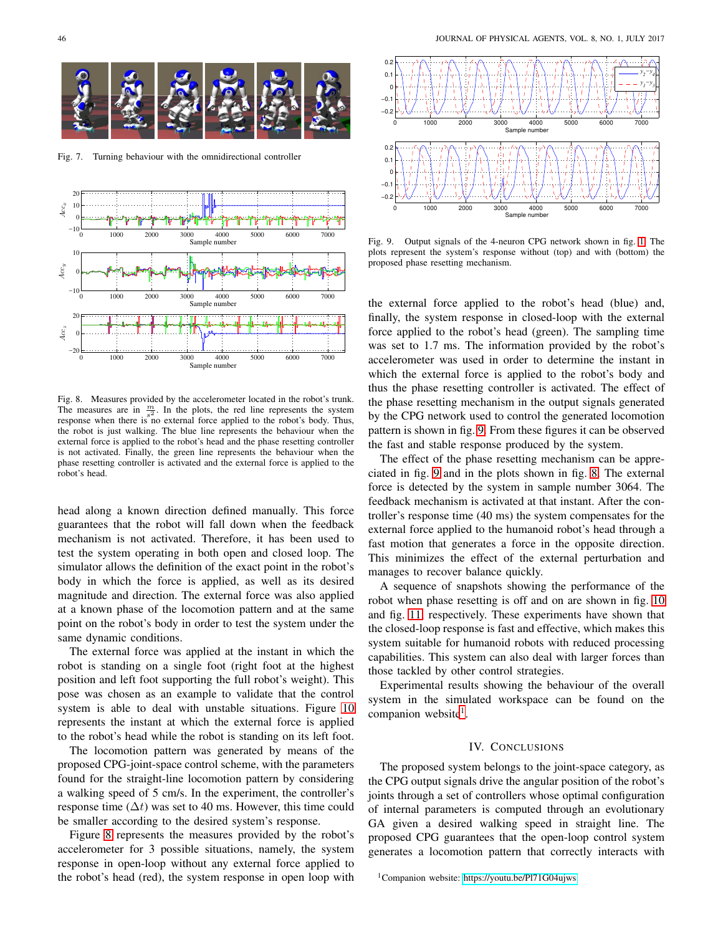

Fig. 7. Turning behaviour with the omnidirectional controller

<span id="page-6-0"></span>

<span id="page-6-1"></span>Fig. 8. Measures provided by the accelerometer located in the robot's trunk. The measures are in  $\frac{m}{s^2}$ . In the plots, the red line represents the system response when there is no external force applied to the robot's body. Thus, the robot is just walking. The blue line represents the behaviour when the external force is applied to the robot's head and the phase resetting controller is not activated. Finally, the green line represents the behaviour when the phase resetting controller is activated and the external force is applied to the robot's head.

head along a known direction defined manually. This force guarantees that the robot will fall down when the feedback mechanism is not activated. Therefore, it has been used to test the system operating in both open and closed loop. The simulator allows the definition of the exact point in the robot's body in which the force is applied, as well as its desired magnitude and direction. The external force was also applied at a known phase of the locomotion pattern and at the same point on the robot's body in order to test the system under the same dynamic conditions.

The external force was applied at the instant in which the robot is standing on a single foot (right foot at the highest position and left foot supporting the full robot's weight). This pose was chosen as an example to validate that the control system is able to deal with unstable situations. Figure [10](#page-7-21) represents the instant at which the external force is applied to the robot's head while the robot is standing on its left foot.

The locomotion pattern was generated by means of the proposed CPG-joint-space control scheme, with the parameters found for the straight-line locomotion pattern by considering a walking speed of 5 cm/s. In the experiment, the controller's response time ( $\Delta t$ ) was set to 40 ms. However, this time could be smaller according to the desired system's response.

Figure [8](#page-6-1) represents the measures provided by the robot's accelerometer for 3 possible situations, namely, the system response in open-loop without any external force applied to the robot's head (red), the system response in open loop with



<span id="page-6-2"></span>Fig. 9. Output signals of the 4-neuron CPG network shown in fig. [1.](#page-1-0) The plots represent the system's response without (top) and with (bottom) the proposed phase resetting mechanism.

the external force applied to the robot's head (blue) and, finally, the system response in closed-loop with the external force applied to the robot's head (green). The sampling time was set to 1.7 ms. The information provided by the robot's accelerometer was used in order to determine the instant in which the external force is applied to the robot's body and thus the phase resetting controller is activated. The effect of the phase resetting mechanism in the output signals generated by the CPG network used to control the generated locomotion pattern is shown in fig. [9.](#page-6-2) From these figures it can be observed the fast and stable response produced by the system.

The effect of the phase resetting mechanism can be appreciated in fig. [9](#page-6-2) and in the plots shown in fig. [8.](#page-6-1) The external force is detected by the system in sample number 3064. The feedback mechanism is activated at that instant. After the controller's response time (40 ms) the system compensates for the external force applied to the humanoid robot's head through a fast motion that generates a force in the opposite direction. This minimizes the effect of the external perturbation and manages to recover balance quickly.

A sequence of snapshots showing the performance of the robot when phase resetting is off and on are shown in fig. [10](#page-7-21) and fig. [11,](#page-7-22) respectively. These experiments have shown that the closed-loop response is fast and effective, which makes this system suitable for humanoid robots with reduced processing capabilities. This system can also deal with larger forces than those tackled by other control strategies.

Experimental results showing the behaviour of the overall system in the simulated workspace can be found on the companion website<sup>[1](#page-6-3)</sup>.

## IV. CONCLUSIONS

The proposed system belongs to the joint-space category, as the CPG output signals drive the angular position of the robot's joints through a set of controllers whose optimal configuration of internal parameters is computed through an evolutionary GA given a desired walking speed in straight line. The proposed CPG guarantees that the open-loop control system generates a locomotion pattern that correctly interacts with

<span id="page-6-3"></span><sup>1</sup>Companion website:<https://youtu.be/Pl71G04ujws>